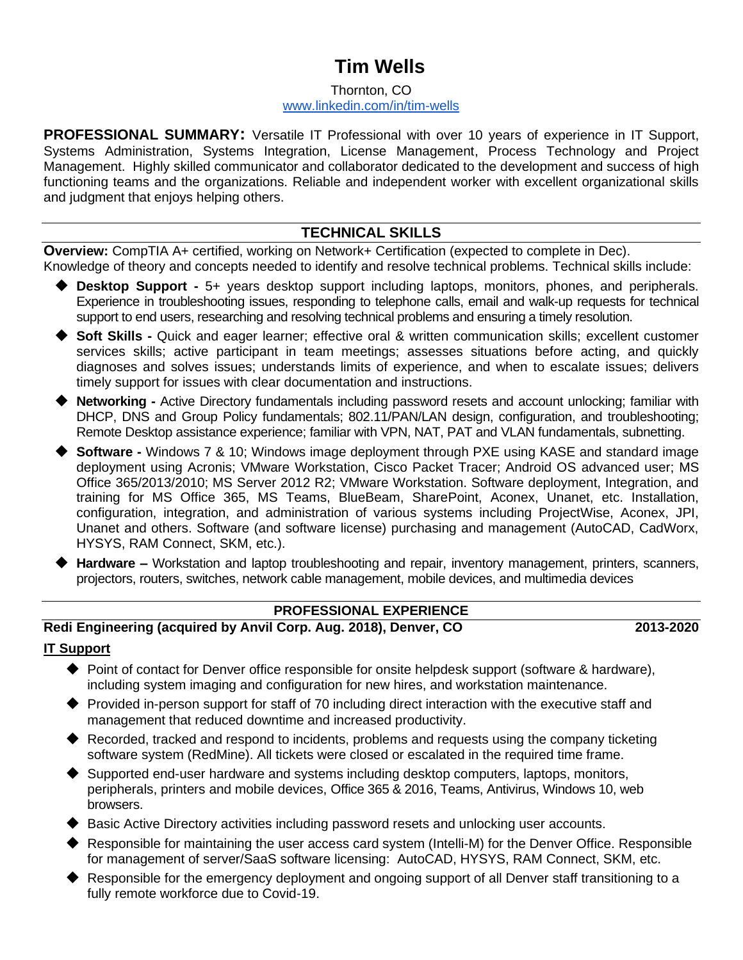# **Tim Wells**

#### Thornton, CO [www.linkedin.com/in/tim-wells](https://www.linkedin.com/in/tim-wells-a96a56116/)

**PROFESSIONAL SUMMARY:** Versatile IT Professional with over 10 years of experience in IT Support, Systems Administration, Systems Integration, License Management, Process Technology and Project Management. Highly skilled communicator and collaborator dedicated to the development and success of high functioning teams and the organizations. Reliable and independent worker with excellent organizational skills and judgment that enjoys helping others.

## **TECHNICAL SKILLS**

**Overview:** CompTIA A+ certified, working on Network+ Certification (expected to complete in Dec). Knowledge of theory and concepts needed to identify and resolve technical problems. Technical skills include:

- ◆ **Desktop Support** 5+ years desktop support including laptops, monitors, phones, and peripherals. Experience in troubleshooting issues, responding to telephone calls, email and walk-up requests for technical support to end users, researching and resolving technical problems and ensuring a timely resolution.
- ◆ **Soft Skills -** Quick and eager learner; effective oral & written communication skills; excellent customer services skills; active participant in team meetings; assesses situations before acting, and quickly diagnoses and solves issues; understands limits of experience, and when to escalate issues; delivers timely support for issues with clear documentation and instructions.
- ◆ **Networking** Active Directory fundamentals including password resets and account unlocking; familiar with DHCP, DNS and Group Policy fundamentals; 802.11/PAN/LAN design, configuration, and troubleshooting; Remote Desktop assistance experience; familiar with VPN, NAT, PAT and VLAN fundamentals, subnetting.
- **Software -** Windows 7 & 10; Windows image deployment through PXE using KASE and standard image deployment using Acronis; VMware Workstation, Cisco Packet Tracer; Android OS advanced user; MS Office 365/2013/2010; MS Server 2012 R2; VMware Workstation. Software deployment, Integration, and training for MS Office 365, MS Teams, BlueBeam, SharePoint, Aconex, Unanet, etc. Installation, configuration, integration, and administration of various systems including ProjectWise, Aconex, JPI, Unanet and others. Software (and software license) purchasing and management (AutoCAD, CadWorx, HYSYS, RAM Connect, SKM, etc.).
- ◆ **Hardware** Workstation and laptop troubleshooting and repair, inventory management, printers, scanners, projectors, routers, switches, network cable management, mobile devices, and multimedia devices

### **PROFESSIONAL EXPERIENCE**

# **Redi Engineering (acquired by Anvil Corp. Aug. 2018), Denver, CO 2013-2020**

### **IT Support**

- ◆ Point of contact for Denver office responsible for onsite helpdesk support (software & hardware), including system imaging and configuration for new hires, and workstation maintenance.
- ◆ Provided in-person support for staff of 70 including direct interaction with the executive staff and management that reduced downtime and increased productivity.
- ◆ Recorded, tracked and respond to incidents, problems and requests using the company ticketing software system (RedMine). All tickets were closed or escalated in the required time frame.
- ◆ Supported end-user hardware and systems including desktop computers, laptops, monitors, peripherals, printers and mobile devices, Office 365 & 2016, Teams, Antivirus, Windows 10, web browsers.
- ◆ Basic Active Directory activities including password resets and unlocking user accounts.
- ◆ Responsible for maintaining the user access card system (Intelli-M) for the Denver Office. Responsible for management of server/SaaS software licensing: AutoCAD, HYSYS, RAM Connect, SKM, etc.
- ◆ Responsible for the emergency deployment and ongoing support of all Denver staff transitioning to a fully remote workforce due to Covid-19.